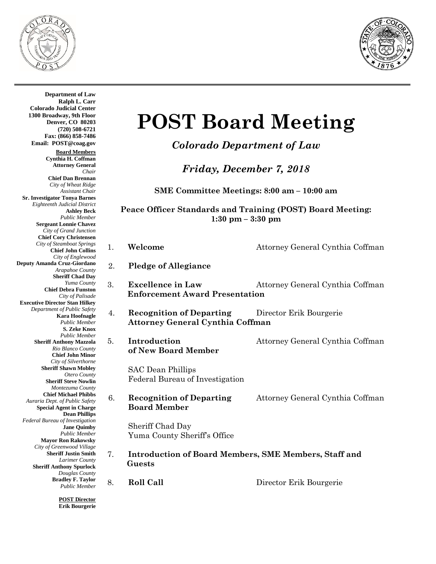



SAC Dean Phillips **Board Member** Sheriff Chad Day  **Guests Department of Law Ralph L. Carr Colorado Judicial Center 1300 Broadway, 9th Floor Denver, CO 80203 (720) 508-6721 Fax: (866) 858-7486 Email: POST@coag.gov Board Members Cynthia H. Coffman Attorney General** *Chair* **Chief Dan Brennan** *City of Wheat Ridge Assistant Chair* **Sr. Investigator Tonya Barnes** *Eighteenth Judicial District* **Ashley Beck** *Public Member* **Sergeant Lonnie Chavez** *City of Grand Junction* **Chief Cory Christensen** *City of Steamboat Springs* **Chief John Collins** *City of Englewood* **Deputy Amanda Cruz-Giordano** *Arapahoe County* **Sheriff Chad Day** *Yuma County* **Chief Debra Funston** *City of Palisade* **Executive Director Stan Hilkey** *Department of Public Safety* **Kara Hoofnagle** *Public Member* **S. Zeke Knox** *Public Member* **Sheriff Anthony Mazzola** *Rio Blanco County* **Chief John Minor** *City of Silverthorne* **Sheriff Shawn Mobley** *Otero County* **Sheriff Steve Nowlin** *Montezuma County* **Chief Michael Phibbs** *Auraria Dept. of Public Safety* **Special Agent in Charge Dean Phillips** *Federal Bureau of Investigation* **Jane Quimby** *Public Member* **Mayor Ron Rakowsky** *City of Greenwood Village* **Sheriff Justin Smith** *Larimer County* **Sheriff Anthony Spurlock** *Douglas County* **Bradley F. Taylor** *Public Member*

**POST Director Erik Bourgerie**

# **POST Board Meeting**

*Colorado Department of Law*

*Friday, December 7, 2018*

**SME Committee Meetings: 8:00 am – 10:00 am**

**Peace Officer Standards and Training (POST) Board Meeting: 1:30 pm – 3:30 pm**

| 1. | Welcome                                                                    | Attorney General Cynthia Coffman |  |
|----|----------------------------------------------------------------------------|----------------------------------|--|
| 2. | <b>Pledge of Allegiance</b>                                                |                                  |  |
| 3. | <b>Excellence in Law</b><br><b>Enforcement Award Presentation</b>          | Attorney General Cynthia Coffman |  |
| 4. | <b>Recognition of Departing</b><br><b>Attorney General Cynthia Coffman</b> | Director Erik Bourgerie          |  |
| 5. | Introduction<br>of New Board Member                                        | Attorney General Cynthia Coffman |  |
|    | <b>SAC Dean Phillips</b><br>Federal Bureau of Investigation                |                                  |  |
| 6. | <b>Recognition of Departing</b><br><b>Board Member</b>                     | Attorney General Cynthia Coffman |  |
|    | Sheriff Chad Day<br>Yuma County Sheriff's Office                           |                                  |  |
| 7. | <b>Introduction of Board Members, SME Members, Staff and</b><br>Guests     |                                  |  |
| 8. | <b>Roll Call</b>                                                           | Director Erik Bourgerie          |  |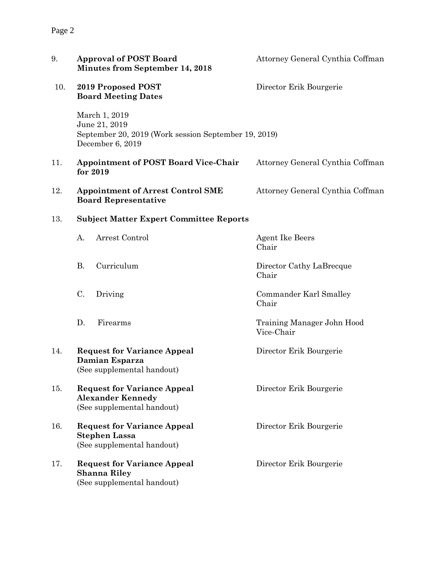| 9.  | <b>Approval of POST Board</b><br>Minutes from September 14, 2018                                           | Attorney General Cynthia Coffman         |
|-----|------------------------------------------------------------------------------------------------------------|------------------------------------------|
| 10. | 2019 Proposed POST<br><b>Board Meeting Dates</b>                                                           | Director Erik Bourgerie                  |
|     | March 1, 2019<br>June 21, 2019<br>September 20, 2019 (Work session September 19, 2019)<br>December 6, 2019 |                                          |
| 11. | <b>Appointment of POST Board Vice-Chair</b><br>for 2019                                                    | Attorney General Cynthia Coffman         |
| 12. | <b>Appointment of Arrest Control SME</b><br><b>Board Representative</b>                                    | Attorney General Cynthia Coffman         |
| 13. | <b>Subject Matter Expert Committee Reports</b>                                                             |                                          |
|     | Arrest Control<br>A.                                                                                       | <b>Agent Ike Beers</b><br>Chair          |
|     | Curriculum<br><b>B.</b>                                                                                    | Director Cathy LaBrecque<br>Chair        |
|     | C.<br>Driving                                                                                              | Commander Karl Smalley<br>Chair          |
|     | D.<br>Firearms                                                                                             | Training Manager John Hood<br>Vice-Chair |
| 14. | <b>Request for Variance Appeal</b><br>Damian Esparza<br>(See supplemental handout)                         | Director Erik Bourgerie                  |
| 15. | <b>Request for Variance Appeal</b><br><b>Alexander Kennedy</b><br>(See supplemental handout)               | Director Erik Bourgerie                  |
| 16. | <b>Request for Variance Appeal</b><br><b>Stephen Lassa</b><br>(See supplemental handout)                   | Director Erik Bourgerie                  |
| 17. | <b>Request for Variance Appeal</b><br><b>Shanna Riley</b><br>(See supplemental handout)                    | Director Erik Bourgerie                  |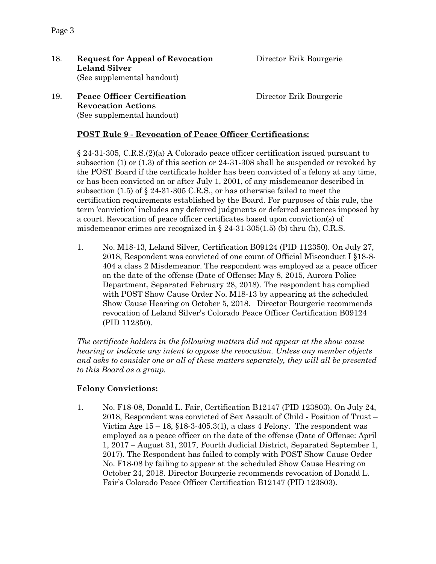18. **Request for Appeal of Revocation** Director Erik Bourgerie **Leland Silver** (See supplemental handout)

19. **Peace Officer Certification** Director Erik Bourgerie **Revocation Actions**  (See supplemental handout)

## **POST Rule 9 - Revocation of Peace Officer Certifications:**

§ 24-31-305, C.R.S.(2)(a) A Colorado peace officer certification issued pursuant to subsection (1) or (1.3) of this section or 24-31-308 shall be suspended or revoked by the POST Board if the certificate holder has been convicted of a felony at any time, or has been convicted on or after July 1, 2001, of any misdemeanor described in subsection (1.5) of § 24-31-305 C.R.S., or has otherwise failed to meet the certification requirements established by the Board. For purposes of this rule, the term 'conviction' includes any deferred judgments or deferred sentences imposed by a court. Revocation of peace officer certificates based upon conviction(s) of misdemeanor crimes are recognized in  $\S 24-31-305(1.5)$  (b) thru (h), C.R.S.

1. No. M18-13, Leland Silver, Certification B09124 (PID 112350). On July 27, 2018, Respondent was convicted of one count of Official Misconduct I §18-8- 404 a class 2 Misdemeanor. The respondent was employed as a peace officer on the date of the offense (Date of Offense: May 8, 2015, Aurora Police Department, Separated February 28, 2018). The respondent has complied with POST Show Cause Order No. M18-13 by appearing at the scheduled Show Cause Hearing on October 5, 2018. Director Bourgerie recommends revocation of Leland Silver's Colorado Peace Officer Certification B09124 (PID 112350).

*The certificate holders in the following matters did not appear at the show cause hearing or indicate any intent to oppose the revocation. Unless any member objects and asks to consider one or all of these matters separately, they will all be presented to this Board as a group.*

## **Felony Convictions:**

1. No. F18-08, Donald L. Fair, Certification B12147 (PID 123803). On July 24, 2018, Respondent was convicted of Sex Assault of Child - Position of Trust – Victim Age  $15 - 18$ ,  $$18-3-405.3(1)$ , a class 4 Felony. The respondent was employed as a peace officer on the date of the offense (Date of Offense: April 1, 2017 – August 31, 2017, Fourth Judicial District, Separated September 1, 2017). The Respondent has failed to comply with POST Show Cause Order No. F18-08 by failing to appear at the scheduled Show Cause Hearing on October 24, 2018. Director Bourgerie recommends revocation of Donald L. Fair's Colorado Peace Officer Certification B12147 (PID 123803).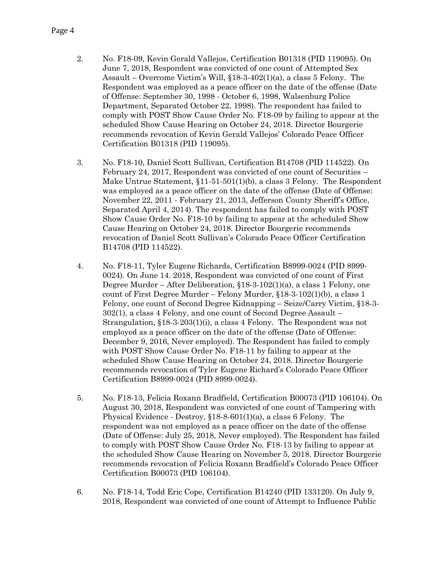- 2. No. F18-09, Kevin Gerald Vallejos, Certification B01318 (PID 119095). On June 7, 2018, Respondent was convicted of one count of Attempted Sex Assault – Overcome Victim's Will, §18-3-402(1)(a), a class 5 Felony. The Respondent was employed as a peace officer on the date of the offense (Date of Offense: September 30, 1998 - October 6, 1998, Walsenburg Police Department, Separated October 22, 1998). The respondent has failed to comply with POST Show Cause Order No. F18-09 by failing to appear at the scheduled Show Cause Hearing on October 24, 2018. Director Bourgerie recommends revocation of Kevin Gerald Vallejos' Colorado Peace Officer Certification B01318 (PID 119095).
- 3. No. F18-10, Daniel Scott Sullivan, Certification B14708 (PID 114522). On February 24, 2017, Respondent was convicted of one count of Securities – Make Untrue Statement, §11-51-501(1)(b), a class 3 Felony. The Respondent was employed as a peace officer on the date of the offense (Date of Offense: November 22, 2011 - February 21, 2013, Jefferson County Sheriff's Office, Separated April 4, 2014). The respondent has failed to comply with POST Show Cause Order No. F18-10 by failing to appear at the scheduled Show Cause Hearing on October 24, 2018. Director Bourgerie recommends revocation of Daniel Scott Sullivan's Colorado Peace Officer Certification B14708 (PID 114522).
- 4. No. F18-11, Tyler Eugene Richards, Certification B8999-0024 (PID 8999- 0024). On June 14. 2018, Respondent was convicted of one count of First Degree Murder – After Deliberation,  $\S 18-3-102(1)(a)$ , a class 1 Felony, one count of First Degree Murder – Felony Murder, §18-3-102(1)(b), a class 1 Felony, one count of Second Degree Kidnapping – Seize/Carry Victim, §18-3- 302(1), a class 4 Felony, and one count of Second Degree Assault – Strangulation, §18-3-203(1)(i), a class 4 Felony. The Respondent was not employed as a peace officer on the date of the offense (Date of Offense: December 9, 2016, Never employed). The Respondent has failed to comply with POST Show Cause Order No. F18-11 by failing to appear at the scheduled Show Cause Hearing on October 24, 2018. Director Bourgerie recommends revocation of Tyler Eugene Richard's Colorado Peace Officer Certification B8999-0024 (PID 8999-0024).
- 5. No. F18-13, Felicia Roxann Bradfield, Certification B00073 (PID 106104). On August 30, 2018, Respondent was convicted of one count of Tampering with Physical Evidence - Destroy, §18-8-601(1)(a), a class 6 Felony. The respondent was not employed as a peace officer on the date of the offense (Date of Offense: July 25, 2018, Never employed). The Respondent has failed to comply with POST Show Cause Order No. F18-13 by failing to appear at the scheduled Show Cause Hearing on November 5, 2018. Director Bourgerie recommends revocation of Felicia Roxann Bradfield's Colorado Peace Officer Certification B00073 (PID 106104).
- 6. No. F18-14, Todd Eric Cope, Certification B14240 (PID 133120). On July 9, 2018, Respondent was convicted of one count of Attempt to Influence Public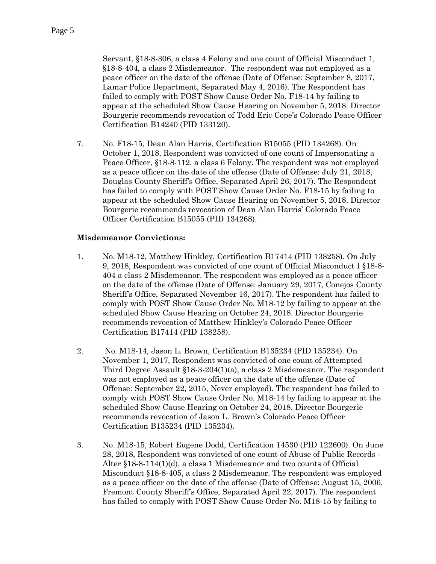Servant, §18-8-306, a class 4 Felony and one count of Official Misconduct 1, §18-8-404, a class 2 Misdemeanor. The respondent was not employed as a peace officer on the date of the offense (Date of Offense: September 8, 2017, Lamar Police Department, Separated May 4, 2016). The Respondent has failed to comply with POST Show Cause Order No. F18-14 by failing to appear at the scheduled Show Cause Hearing on November 5, 2018. Director Bourgerie recommends revocation of Todd Eric Cope's Colorado Peace Officer Certification B14240 (PID 133120).

7. No. F18-15, Dean Alan Harris, Certification B15055 (PID 134268). On October 1, 2018, Respondent was convicted of one count of Impersonating a Peace Officer, §18-8-112, a class 6 Felony. The respondent was not employed as a peace officer on the date of the offense (Date of Offense: July 21, 2018, Douglas County Sheriff's Office, Separated April 26, 2017). The Respondent has failed to comply with POST Show Cause Order No. F18-15 by failing to appear at the scheduled Show Cause Hearing on November 5, 2018. Director Bourgerie recommends revocation of Dean Alan Harris' Colorado Peace Officer Certification B15055 (PID 134268).

#### **Misdemeanor Convictions:**

- 1. No. M18-12, Matthew Hinkley, Certification B17414 (PID 138258). On July 9, 2018, Respondent was convicted of one count of Official Misconduct I §18-8- 404 a class 2 Misdemeanor. The respondent was employed as a peace officer on the date of the offense (Date of Offense: January 29, 2017, Conejos County Sheriff's Office, Separated November 16, 2017). The respondent has failed to comply with POST Show Cause Order No. M18-12 by failing to appear at the scheduled Show Cause Hearing on October 24, 2018. Director Bourgerie recommends revocation of Matthew Hinkley's Colorado Peace Officer Certification B17414 (PID 138258).
- 2. No. M18-14, Jason L. Brown, Certification B135234 (PID 135234). On November 1, 2017, Respondent was convicted of one count of Attempted Third Degree Assault §18-3-204(1)(a), a class 2 Misdemeanor. The respondent was not employed as a peace officer on the date of the offense (Date of Offense: September 22, 2015, Never employed). The respondent has failed to comply with POST Show Cause Order No. M18-14 by failing to appear at the scheduled Show Cause Hearing on October 24, 2018. Director Bourgerie recommends revocation of Jason L. Brown's Colorado Peace Officer Certification B135234 (PID 135234).
- 3. No. M18-15, Robert Eugene Dodd, Certification 14530 (PID 122600). On June 28, 2018, Respondent was convicted of one count of Abuse of Public Records - Alter §18-8-114(1)(d), a class 1 Misdemeanor and two counts of Official Misconduct §18-8-405, a class 2 Misdemeanor. The respondent was employed as a peace officer on the date of the offense (Date of Offense: August 15, 2006, Fremont County Sheriff's Office, Separated April 22, 2017). The respondent has failed to comply with POST Show Cause Order No. M18-15 by failing to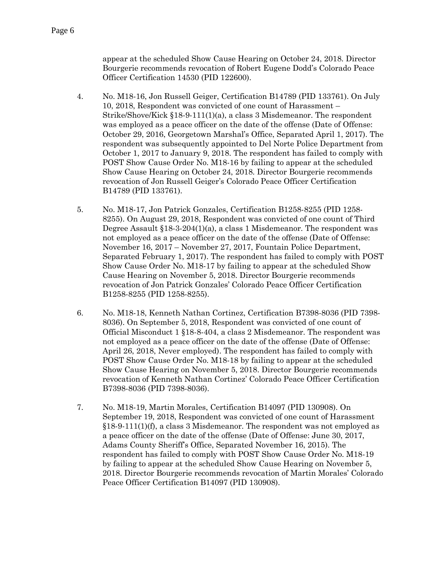appear at the scheduled Show Cause Hearing on October 24, 2018. Director Bourgerie recommends revocation of Robert Eugene Dodd's Colorado Peace Officer Certification 14530 (PID 122600).

- 4. No. M18-16, Jon Russell Geiger, Certification B14789 (PID 133761). On July 10, 2018, Respondent was convicted of one count of Harassment – Strike/Shove/Kick §18-9-111(1)(a), a class 3 Misdemeanor. The respondent was employed as a peace officer on the date of the offense (Date of Offense: October 29, 2016, Georgetown Marshal's Office, Separated April 1, 2017). The respondent was subsequently appointed to Del Norte Police Department from October 1, 2017 to January 9, 2018. The respondent has failed to comply with POST Show Cause Order No. M18-16 by failing to appear at the scheduled Show Cause Hearing on October 24, 2018. Director Bourgerie recommends revocation of Jon Russell Geiger's Colorado Peace Officer Certification B14789 (PID 133761).
- 5. No. M18-17, Jon Patrick Gonzales, Certification B1258-8255 (PID 1258- 8255). On August 29, 2018, Respondent was convicted of one count of Third Degree Assault  $$18-3-204(1)(a)$ , a class 1 Misdemeanor. The respondent was not employed as a peace officer on the date of the offense (Date of Offense: November 16, 2017 – November 27, 2017, Fountain Police Department, Separated February 1, 2017). The respondent has failed to comply with POST Show Cause Order No. M18-17 by failing to appear at the scheduled Show Cause Hearing on November 5, 2018. Director Bourgerie recommends revocation of Jon Patrick Gonzales' Colorado Peace Officer Certification B1258-8255 (PID 1258-8255).
- 6. No. M18-18, Kenneth Nathan Cortinez, Certification B7398-8036 (PID 7398- 8036). On September 5, 2018, Respondent was convicted of one count of Official Misconduct 1 §18-8-404, a class 2 Misdemeanor. The respondent was not employed as a peace officer on the date of the offense (Date of Offense: April 26, 2018, Never employed). The respondent has failed to comply with POST Show Cause Order No. M18-18 by failing to appear at the scheduled Show Cause Hearing on November 5, 2018. Director Bourgerie recommends revocation of Kenneth Nathan Cortinez' Colorado Peace Officer Certification B7398-8036 (PID 7398-8036).
- 7. No. M18-19, Martin Morales, Certification B14097 (PID 130908). On September 19, 2018, Respondent was convicted of one count of Harassment §18-9-111(1)(f), a class 3 Misdemeanor. The respondent was not employed as a peace officer on the date of the offense (Date of Offense: June 30, 2017, Adams County Sheriff's Office, Separated November 16, 2015). The respondent has failed to comply with POST Show Cause Order No. M18-19 by failing to appear at the scheduled Show Cause Hearing on November 5, 2018. Director Bourgerie recommends revocation of Martin Morales' Colorado Peace Officer Certification B14097 (PID 130908).